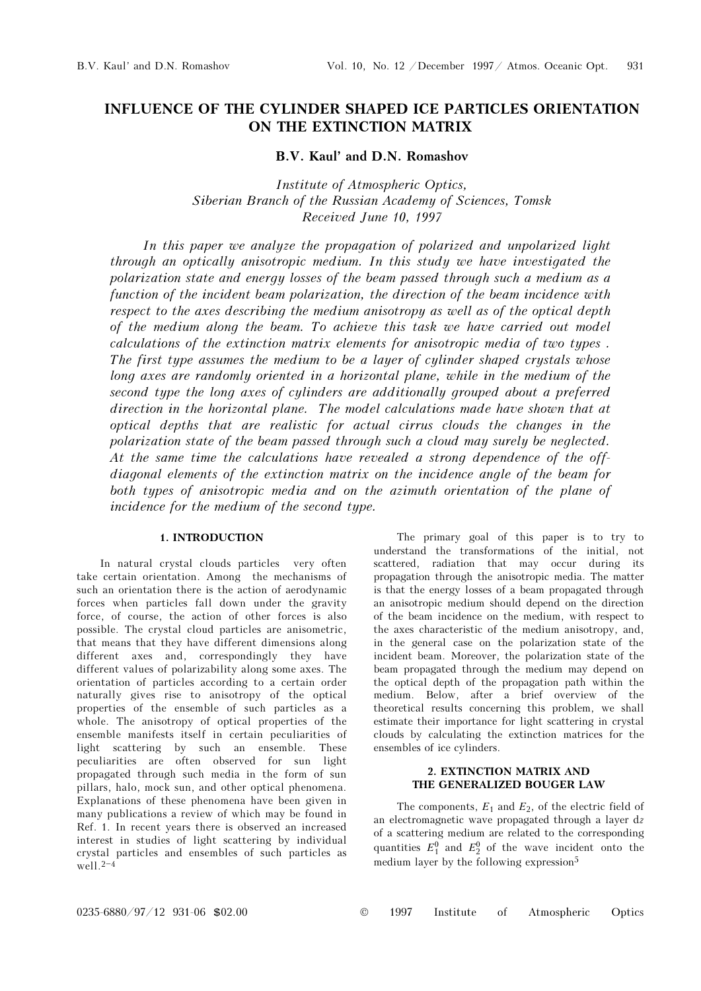# INFLUENCE OF THE CYLINDER SHAPED ICE PARTICLES ORIENTATION ON THE EXTINCTION MATRIX

# B.V. Kaul' and D.N. Romashov

Institute of Atmospheric Optics, Siberian Branch of the Russian Academy of Sciences, Tomsk Received June 10, 1997

In this paper we analyze the propagation of polarized and unpolarized light through an optically anisotropic medium. In this study we have investigated the polarization state and energy losses of the beam passed through such a medium as a function of the incident beam polarization, the direction of the beam incidence with respect to the axes describing the medium anisotropy as well as of the optical depth of the medium along the beam. To achieve this task we have carried out model calculations of the extinction matrix elements for anisotropic media of two types . The first type assumes the medium to be a layer of cylinder shaped crystals whose long axes are randomly oriented in a horizontal plane, while in the medium of the second type the long axes of cylinders are additionally grouped about a preferred direction in the horizontal plane. The model calculations made have shown that at optical depths that are realistic for actual cirrus clouds the changes in the polarization state of the beam passed through such a cloud may surely be neglected. At the same time the calculations have revealed a strong dependence of the offdiagonal elements of the extinction matrix on the incidence angle of the beam for both types of anisotropic media and on the azimuth orientation of the plane of incidence for the medium of the second type.

# 1. INTRODUCTION

In natural crystal clouds particles very often take certain orientation. Among the mechanisms of such an orientation there is the action of aerodynamic forces when particles fall down under the gravity force, of course, the action of other forces is also possible. The crystal cloud particles are anisometric, that means that they have different dimensions along different axes and, correspondingly they have different values of polarizability along some axes. The orientation of particles according to a certain order naturally gives rise to anisotropy of the optical properties of the ensemble of such particles as a whole. The anisotropy of optical properties of the ensemble manifests itself in certain peculiarities of light scattering by such an ensemble. These peculiarities are often observed for sun light propagated through such media in the form of sun pillars, halo, mock sun, and other optical phenomena. Explanations of these phenomena have been given in many publications a review of which may be found in Ref. 1. In recent years there is observed an increased interest in studies of light scattering by individual crystal particles and ensembles of such particles as well. $2<sup>-4</sup>$ 

The primary goal of this paper is to try to understand the transformations of the initial, not scattered, radiation that may occur during its propagation through the anisotropic media. The matter is that the energy losses of a beam propagated through an anisotropic medium should depend on the direction of the beam incidence on the medium, with respect to the axes characteristic of the medium anisotropy, and, in the general case on the polarization state of the incident beam. Moreover, the polarization state of the beam propagated through the medium may depend on the optical depth of the propagation path within the medium. Below, after a brief overview of the theoretical results concerning this problem, we shall estimate their importance for light scattering in crystal clouds by calculating the extinction matrices for the ensembles of ice cylinders.

## 2. EXTINCTION MATRIX AND THE GENERALIZED BOUGER LAW

The components,  $E_1$  and  $E_2$ , of the electric field of an electromagnetic wave propagated through a layer dz of a scattering medium are related to the corresponding quantities  $E_1^0$  and  $E_2^0$  of the wave incident onto the medium layer by the following expression<sup>5</sup>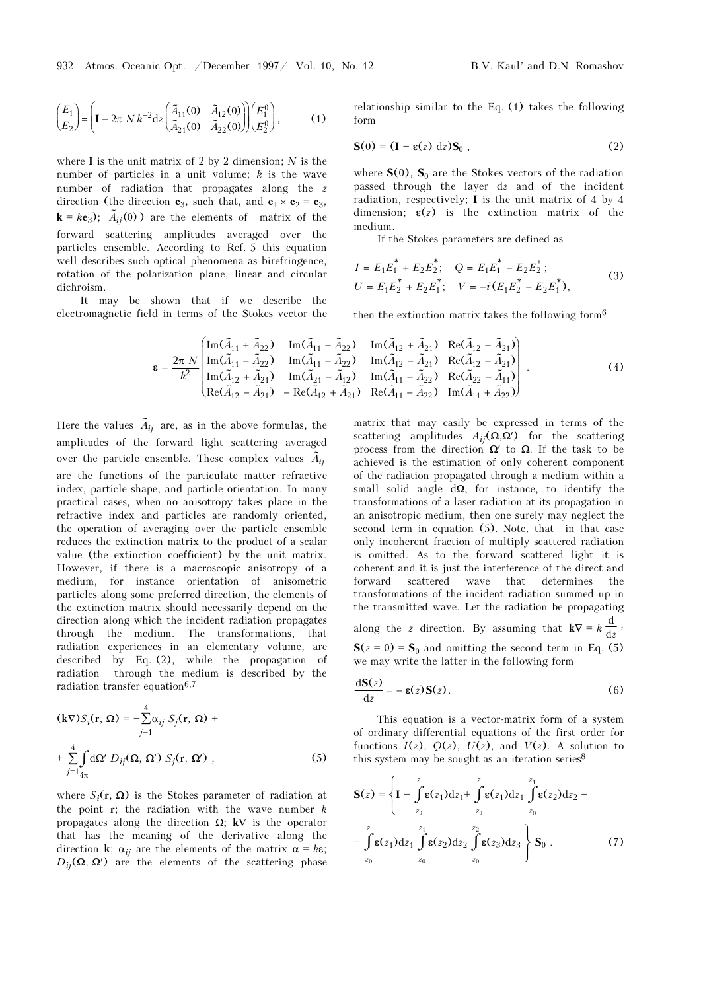$$
\begin{pmatrix} E_1 \\ E_2 \end{pmatrix} = \left( \mathbf{I} - 2\pi N k^{-2} dz \begin{pmatrix} \tilde{A}_{11}(0) & \tilde{A}_{12}(0) \\ \tilde{A}_{21}(0) & \tilde{A}_{22}(0) \end{pmatrix} \begin{pmatrix} E_1^0 \\ E_2^0 \end{pmatrix}, \qquad (1)
$$

where  $I$  is the unit matrix of 2 by 2 dimension; N is the number of particles in a unit volume;  $k$  is the wave number of radiation that propagates along the z direction (the direction  $e_3$ , such that, and  $e_1 \times e_2 = e_3$ ,  $\mathbf{k} = k \mathbf{e}_3$ );  $\tilde{A}_{ij}(0)$ ) are the elements of matrix of the forward scattering amplitudes averaged over the particles ensemble. According to Ref. 5 this equation well describes such optical phenomena as birefringence, rotation of the polarization plane, linear and circular dichroism.

It may be shown that if we describe the electromagnetic field in terms of the Stokes vector the relationship similar to the Eq. (1) takes the following form

$$
\mathbf{S}(0) = (\mathbf{I} - \mathbf{\varepsilon}(z) \, \mathrm{d}z) \mathbf{S}_0 \,, \tag{2}
$$

where  $S(0)$ ,  $S_0$  are the Stokes vectors of the radiation passed through the layer dz and of the incident radiation, respectively; I is the unit matrix of 4 by 4 dimension;  $\varepsilon(z)$  is the extinction matrix of the medium.

If the Stokes parameters are defined as

$$
I = E_1 E_1^* + E_2 E_2^*; \quad Q = E_1 E_1^* - E_2 E_2^*;
$$
  
\n
$$
U = E_1 E_2^* + E_2 E_1^*; \quad V = -i (E_1 E_2^* - E_2 E_1^*),
$$
\n(3)

then the extinction matrix takes the following form<sup>6</sup>

$$
\epsilon = \frac{2\pi N}{k^2} \begin{pmatrix} \text{Im}(\tilde{A}_{11} + \tilde{A}_{22}) & \text{Im}(\tilde{A}_{11} - \tilde{A}_{22}) & \text{Im}(\tilde{A}_{12} + \tilde{A}_{21}) & \text{Re}(\tilde{A}_{12} - \tilde{A}_{21}) \\ \text{Im}(\tilde{A}_{11} - \tilde{A}_{22}) & \text{Im}(\tilde{A}_{11} + \tilde{A}_{22}) & \text{Im}(\tilde{A}_{12} - \tilde{A}_{21}) & \text{Re}(\tilde{A}_{12} + \tilde{A}_{21}) \\ \text{Im}(\tilde{A}_{12} + \tilde{A}_{21}) & \text{Im}(\tilde{A}_{21} - \tilde{A}_{12}) & \text{Im}(\tilde{A}_{11} + \tilde{A}_{22}) & \text{Re}(\tilde{A}_{22} - \tilde{A}_{11}) \\ \text{Re}(\tilde{A}_{12} - \tilde{A}_{21}) & -\text{Re}(\tilde{A}_{12} + \tilde{A}_{21}) & \text{Re}(\tilde{A}_{11} - \tilde{A}_{22}) & \text{Im}(\tilde{A}_{11} + \tilde{A}_{22}) \end{pmatrix} .
$$
\n(4)

\nHere the values  $\tilde{A}_{ij}$  are, as in the above formulas, the matrix that may easily be expressed in terms of the

amplitudes of the forward light scattering averaged Here the values  $\tilde{A}_{ij}$  are, as in the above formulas, the amplitudes of the forward light scattering average over the particle ensemble. These complex values  $\tilde{A}$ over the particle ensemble. These complex values  $A_{ii}$ are the functions of the particulate matter refractive index, particle shape, and particle orientation. In many practical cases, when no anisotropy takes place in the refractive index and particles are randomly oriented, the operation of averaging over the particle ensemble reduces the extinction matrix to the product of a scalar value (the extinction coefficient) by the unit matrix. However, if there is a macroscopic anisotropy of a medium, for instance orientation of anisometric particles along some preferred direction, the elements of the extinction matrix should necessarily depend on the direction along which the incident radiation propagates through the medium. The transformations, that radiation experiences in an elementary volume, are described by Eq. (2), while the propagation of radiation through the medium is described by the radiation transfer equation $6,7$ 

$$
(\mathbf{k}\nabla)S_i(\mathbf{r}, \Omega) = -\sum_{j=1}^4 \alpha_{ij} S_j(\mathbf{r}, \Omega) +
$$
  
+ 
$$
\sum_{j=1}^4 \int_{4\pi} d\Omega' D_{ij}(\Omega, \Omega') S_j(\mathbf{r}, \Omega'),
$$
 (5)

where  $S_i(\mathbf{r}, \Omega)$  is the Stokes parameter of radiation at the point  $r$ ; the radiation with the wave number  $k$ propagates along the direction Ω; k∇ is the operator that has the meaning of the derivative along the direction **k**;  $\alpha_{ij}$  are the elements of the matrix  $\alpha = k\epsilon$ ;  $D_{ij}(\Omega, \Omega')$  are the elements of the scattering phase

matrix that may easily be expressed in terms of the scattering amplitudes  $A_{ii}(\Omega,\Omega')$  for the scattering process from the direction  $\Omega'$  to  $\Omega$ . If the task to be achieved is the estimation of only coherent component of the radiation propagated through a medium within a small solid angle  $d\Omega$ , for instance, to identify the transformations of a laser radiation at its propagation in an anisotropic medium, then one surely may neglect the second term in equation (5). Note, that in that case only incoherent fraction of multiply scattered radiation is omitted. As to the forward scattered light it is coherent and it is just the interference of the direct and forward scattered wave that determines the transformations of the incident radiation summed up in the transmitted wave. Let the radiation be propagating along the z direction. By assuming that  $\mathbf{k} \nabla = k \frac{d}{dz}$ ,  $S(z = 0) = S_0$  and omitting the second term in Eq. (5) we may write the latter in the following form

$$
\frac{\mathrm{d}S(z)}{\mathrm{d}z} = -\varepsilon(z)S(z). \tag{6}
$$

This equation is a vector-matrix form of a system of ordinary differential equations of the first order for functions  $I(z)$ ,  $Q(z)$ ,  $U(z)$ , and  $V(z)$ . A solution to this system may be sought as an iteration series  $8$ 

$$
\mathbf{S}(z) = \left\{ \mathbf{I} - \int_{z_0}^{z} \mathbf{\varepsilon}(z_1) dz_1 + \int_{z_0}^{z} \mathbf{\varepsilon}(z_1) dz_1 \int_{z_0}^{z_1} \mathbf{\varepsilon}(z_2) dz_2 - \int_{z_0}^{z} \mathbf{\varepsilon}(z_1) dz_1 \int_{z_0}^{z_1} \mathbf{\varepsilon}(z_2) dz_2 \int_{z_0}^{z_2} \mathbf{\varepsilon}(z_3) dz_3 \right\} \mathbf{S}_0.
$$
 (7)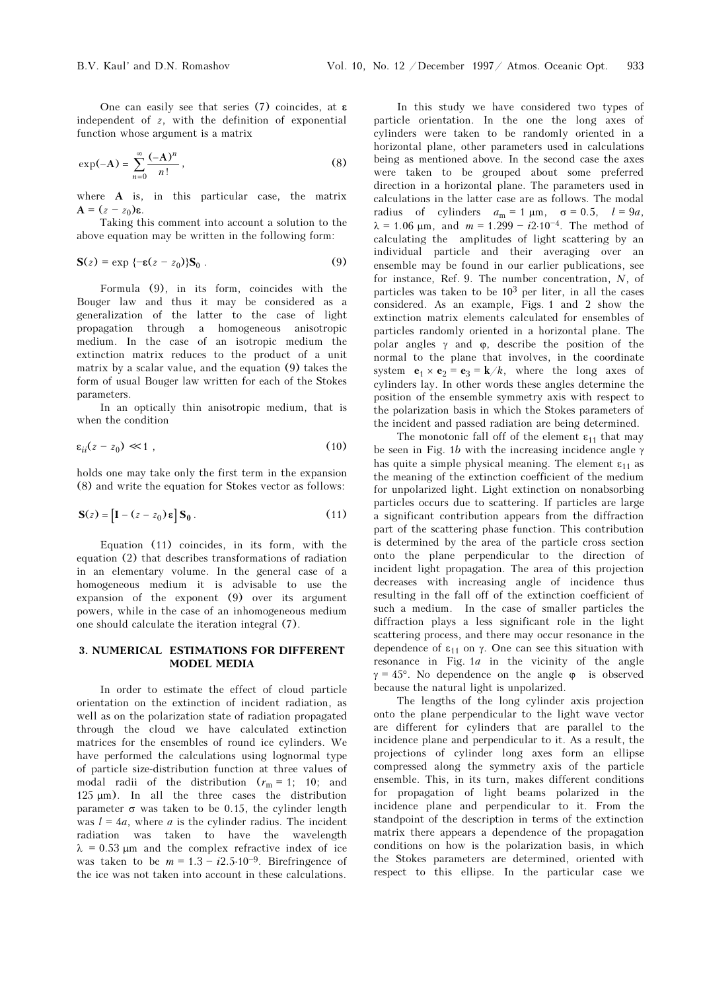One can easily see that series (7) coincides, at **ε** independent of  $z$ , with the definition of exponential function whose argument is a matrix

$$
\exp(-A) = \sum_{n=0}^{\infty} \frac{(-A)^n}{n!},
$$
 (8)

where A is, in this particular case, the matrix  $A = (z - z_0)\varepsilon$ .

Taking this comment into account a solution to the above equation may be written in the following form:

$$
\mathbf{S}(z) = \exp\left\{-\mathbf{\varepsilon}(z - z_0)\right\} \mathbf{S}_0 \,. \tag{9}
$$

Formula (9), in its form, coincides with the Bouger law and thus it may be considered as a generalization of the latter to the case of light propagation through a homogeneous anisotropic medium. In the case of an isotropic medium the extinction matrix reduces to the product of a unit matrix by a scalar value, and the equation (9) takes the form of usual Bouger law written for each of the Stokes parameters.

In an optically thin anisotropic medium, that is when the condition

$$
\varepsilon_{ii}(z-z_0) \ll 1 \tag{10}
$$

holds one may take only the first term in the expansion (8) and write the equation for Stokes vector as follows:

$$
\mathbf{S}(z) = \left[ \mathbf{I} - (z - z_0) \mathbf{\varepsilon} \right] \mathbf{S}_0. \tag{11}
$$

Equation (11) coincides, in its form, with the equation (2) that describes transformations of radiation in an elementary volume. In the general case of a homogeneous medium it is advisable to use the expansion of the exponent (9) over its argument powers, while in the case of an inhomogeneous medium one should calculate the iteration integral (7).

### 3. NUMERICAL ESTIMATIONS FOR DIFFERENT MODEL MEDIA

In order to estimate the effect of cloud particle orientation on the extinction of incident radiation, as well as on the polarization state of radiation propagated through the cloud we have calculated extinction matrices for the ensembles of round ice cylinders. We have performed the calculations using lognormal type of particle size-distribution function at three values of modal radii of the distribution  $(r_m = 1; 10;$  and 125 μm). In all the three cases the distribution parameter  $σ$  was taken to be 0.15, the cylinder length was  $l = 4a$ , where a is the cylinder radius. The incident radiation was taken to have the wavelength  $\lambda$  = 0.53  $\mu$ m and the complex refractive index of ice was taken to be  $m = 1.3 - i2.5 \cdot 10^{-9}$ . Birefringence of the ice was not taken into account in these calculations.

In this study we have considered two types of particle orientation. In the one the long axes of cylinders were taken to be randomly oriented in a horizontal plane, other parameters used in calculations being as mentioned above. In the second case the axes were taken to be grouped about some preferred direction in a horizontal plane. The parameters used in calculations in the latter case are as follows. The modal radius of cylinders  $a_m = 1 \mu m$ ,  $\sigma = 0.5$ ,  $l = 9a$ ,  $\lambda = 1.06 \mu m$ , and  $m = 1.299 - i2.10^{-4}$ . The method of calculating the amplitudes of light scattering by an individual particle and their averaging over an ensemble may be found in our earlier publications, see for instance, Ref. 9. The number concentration, N, of particles was taken to be 103 per liter, in all the cases considered. As an example, Figs. 1 and 2 show the extinction matrix elements calculated for ensembles of particles randomly oriented in a horizontal plane. The polar angles  $γ$  and  $φ$ , describe the position of the normal to the plane that involves, in the coordinate system  $\mathbf{e}_1 \times \mathbf{e}_2 = \mathbf{e}_3 = \mathbf{k}/k$ , where the long axes of cylinders lay. In other words these angles determine the position of the ensemble symmetry axis with respect to the polarization basis in which the Stokes parameters of the incident and passed radiation are being determined.

The monotonic fall off of the element  $\varepsilon_{11}$  that may be seen in Fig. 1b with the increasing incidence angle γ has quite a simple physical meaning. The element  $\varepsilon_{11}$  as the meaning of the extinction coefficient of the medium for unpolarized light. Light extinction on nonabsorbing particles occurs due to scattering. If particles are large a significant contribution appears from the diffraction part of the scattering phase function. This contribution is determined by the area of the particle cross section onto the plane perpendicular to the direction of incident light propagation. The area of this projection decreases with increasing angle of incidence thus resulting in the fall off of the extinction coefficient of such a medium. In the case of smaller particles the diffraction plays a less significant role in the light scattering process, and there may occur resonance in the dependence of  $ε_{11}$  on γ. One can see this situation with resonance in Fig.  $1a$  in the vicinity of the angle  $\gamma = 45^{\circ}$ . No dependence on the angle  $\varphi$  is observed because the natural light is unpolarized.

The lengths of the long cylinder axis projection onto the plane perpendicular to the light wave vector are different for cylinders that are parallel to the incidence plane and perpendicular to it. As a result, the projections of cylinder long axes form an ellipse compressed along the symmetry axis of the particle ensemble. This, in its turn, makes different conditions for propagation of light beams polarized in the incidence plane and perpendicular to it. From the standpoint of the description in terms of the extinction matrix there appears a dependence of the propagation conditions on how is the polarization basis, in which the Stokes parameters are determined, oriented with respect to this ellipse. In the particular case we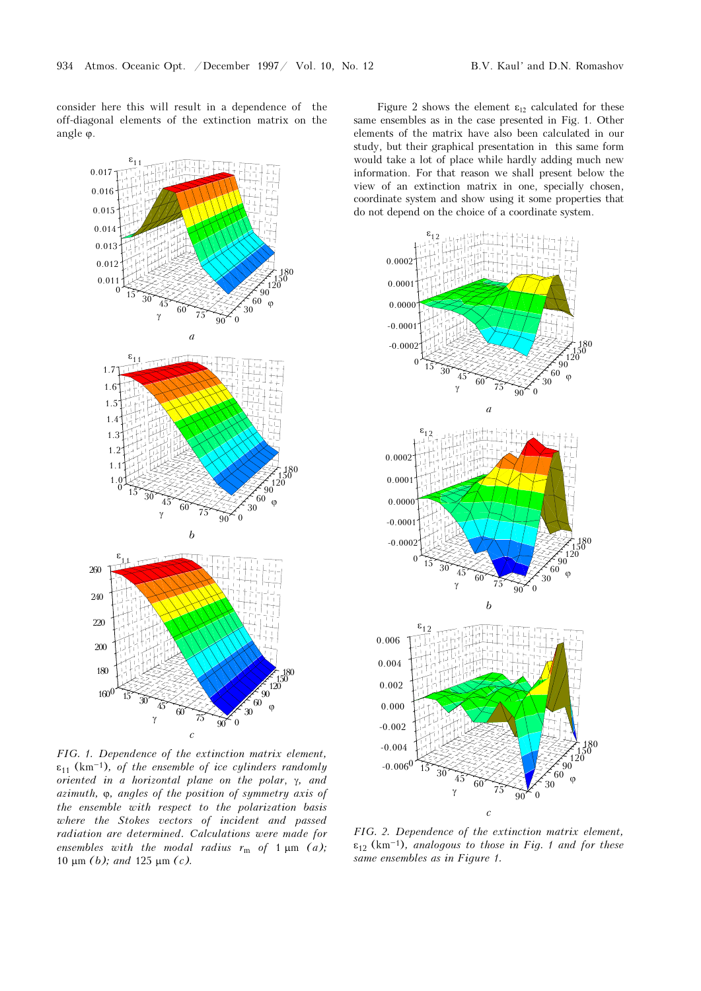consider here this will result in a dependence of the off-diagonal elements of the extinction matrix on the angle ϕ.



FIG. 1. Dependence of the extinction matrix element,  $\varepsilon_{11}$  (km<sup>-1</sup>), of the ensemble of ice cylinders randomly oriented in a horizontal plane on the polar, γ, and azimuth, ϕ, angles of the position of symmetry axis of the ensemble with respect to the polarization basis where the Stokes vectors of incident and passed radiation are determined. Calculations were made for ensembles with the modal radius  $r_m$  of 1  $\mu$ m (a); 10 μm (b); and 125 μm (c).

Figure 2 shows the element  $\varepsilon_{12}$  calculated for these same ensembles as in the case presented in Fig. 1. Other elements of the matrix have also been calculated in our study, but their graphical presentation in this same form would take a lot of place while hardly adding much new information. For that reason we shall present below the view of an extinction matrix in one, specially chosen, coordinate system and show using it some properties that do not depend on the choice of a coordinate system.



FIG. 2. Dependence of the extinction matrix element,  $\varepsilon_{12}$  (km<sup>-1</sup>), analogous to those in Fig. 1 and for these same ensembles as in Figure 1.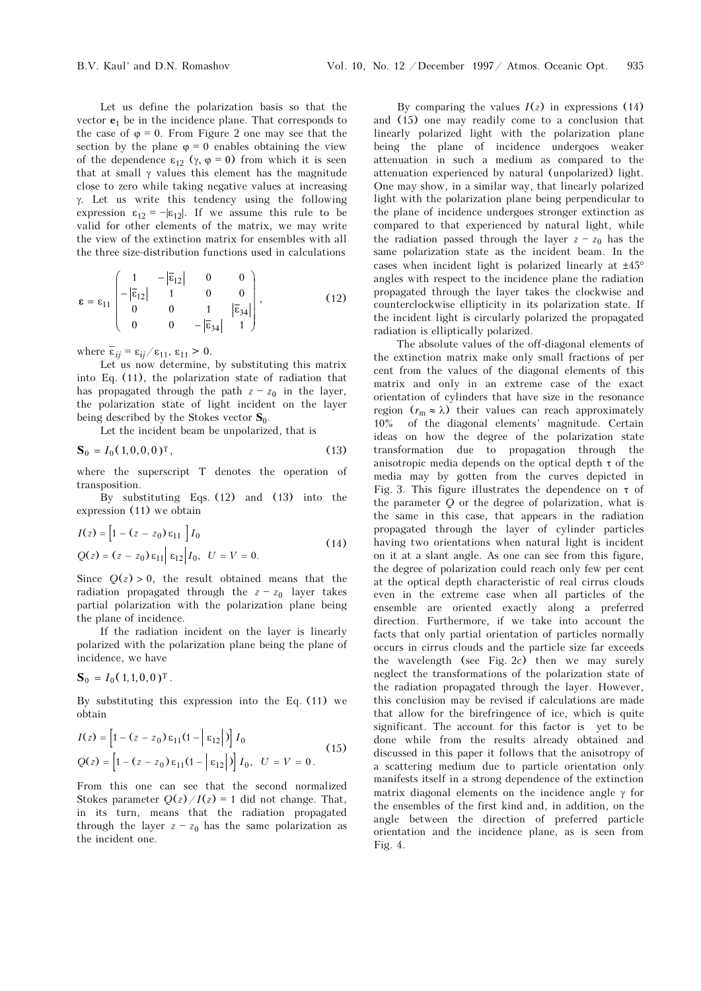Let us define the polarization basis so that the vector  $e_1$  be in the incidence plane. That corresponds to the case of  $\varphi = 0$ . From Figure 2 one may see that the section by the plane  $\varphi = 0$  enables obtaining the view of the dependence  $\varepsilon_{12}$  (γ,  $\varphi = 0$ ) from which it is seen that at small γ values this element has the magnitude close to zero while taking negative values at increasing γ. Let us write this tendency using the following expression  $\varepsilon_{12} = -|\varepsilon_{12}|$ . If we assume this rule to be valid for other elements of the matrix, we may write the view of the extinction matrix for ensembles with all the three size-distribution functions used in calculations

$$
\mathbf{\varepsilon} = \varepsilon_{11} \begin{pmatrix} 1 & -|\overline{\varepsilon}_{12}| & 0 & 0 \\ -|\overline{\varepsilon}_{12}| & 1 & 0 & 0 \\ 0 & 0 & 1 & |\overline{\varepsilon}_{34}| \\ 0 & 0 & -|\overline{\varepsilon}_{34}| & 1 \end{pmatrix},
$$
(12)

where  $\overline{\epsilon}_{ij} = \epsilon_{ij}/\epsilon_{11}, \epsilon_{11} > 0$ .

Let us now determine, by substituting this matrix into Eq. (11), the polarization state of radiation that has propagated through the path  $z - z_0$  in the layer, the polarization state of light incident on the layer being described by the Stokes vector  $S_0$ .

Let the incident beam be unpolarized, that is

$$
\mathbf{S}_0 = I_0 (1, 0, 0, 0)^{\mathrm{T}}, \tag{13}
$$

where the superscript T denotes the operation of transposition.

By substituting Eqs. (12) and (13) into the expression (11) we obtain

$$
I(z) = \left[1 - (z - z_0) \varepsilon_{11} \right] I_0
$$
  
 
$$
Q(z) = (z - z_0) \varepsilon_{11} \left| \varepsilon_{12} \right| I_0, \quad U = V = 0.
$$
 (14)

Since  $Q(z) > 0$ , the result obtained means that the radiation propagated through the  $z - z_0$  layer takes partial polarization with the polarization plane being the plane of incidence.

If the radiation incident on the layer is linearly polarized with the polarization plane being the plane of incidence, we have

$$
\mathbf{S}_0 = I_0(1,1,0,0)^{\mathrm{T}}.
$$

By substituting this expression into the Eq. (11) we obtain

$$
I(z) = \left[1 - (z - z_0)\varepsilon_{11}(1 - |\varepsilon_{12}|)\right]I_0
$$
  
 
$$
Q(z) = \left[1 - (z - z_0)\varepsilon_{11}(1 - |\varepsilon_{12}|)\right]I_0, \quad U = V = 0.
$$
 (15)

From this one can see that the second normalized Stokes parameter  $O(z)/I(z) = 1$  did not change. That, in its turn, means that the radiation propagated through the layer  $z - z_0$  has the same polarization as the incident one.

By comparing the values  $I(z)$  in expressions (14) and (15) one may readily come to a conclusion that linearly polarized light with the polarization plane being the plane of incidence undergoes weaker attenuation in such a medium as compared to the attenuation experienced by natural (unpolarized) light. One may show, in a similar way, that linearly polarized light with the polarization plane being perpendicular to the plane of incidence undergoes stronger extinction as compared to that experienced by natural light, while the radiation passed through the layer  $z - z_0$  has the same polarization state as the incident beam. In the cases when incident light is polarized linearly at  $\pm 45^{\circ}$ angles with respect to the incidence plane the radiation propagated through the layer takes the clockwise and counterclockwise ellipticity in its polarization state. If the incident light is circularly polarized the propagated radiation is elliptically polarized.

The absolute values of the off-diagonal elements of the extinction matrix make only small fractions of per cent from the values of the diagonal elements of this matrix and only in an extreme case of the exact orientation of cylinders that have size in the resonance region  $(r_m \approx \lambda)$  their values can reach approximately 10% of the diagonal elements' magnitude. Certain ideas on how the degree of the polarization state transformation due to propagation through the anisotropic media depends on the optical depth  $\tau$  of the media may by gotten from the curves depicted in Fig. 3. This figure illustrates the dependence on  $\tau$  of the parameter Q or the degree of polarization, what is the same in this case, that appears in the radiation propagated through the layer of cylinder particles having two orientations when natural light is incident on it at a slant angle. As one can see from this figure, the degree of polarization could reach only few per cent at the optical depth characteristic of real cirrus clouds even in the extreme case when all particles of the ensemble are oriented exactly along a preferred direction. Furthermore, if we take into account the facts that only partial orientation of particles normally occurs in cirrus clouds and the particle size far exceeds the wavelength (see Fig.  $2c$ ) then we may surely neglect the transformations of the polarization state of the radiation propagated through the layer. However, this conclusion may be revised if calculations are made that allow for the birefringence of ice, which is quite significant. The account for this factor is yet to be done while from the results already obtained and discussed in this paper it follows that the anisotropy of a scattering medium due to particle orientation only manifests itself in a strong dependence of the extinction matrix diagonal elements on the incidence angle γ for the ensembles of the first kind and, in addition, on the angle between the direction of preferred particle orientation and the incidence plane, as is seen from Fig. 4.